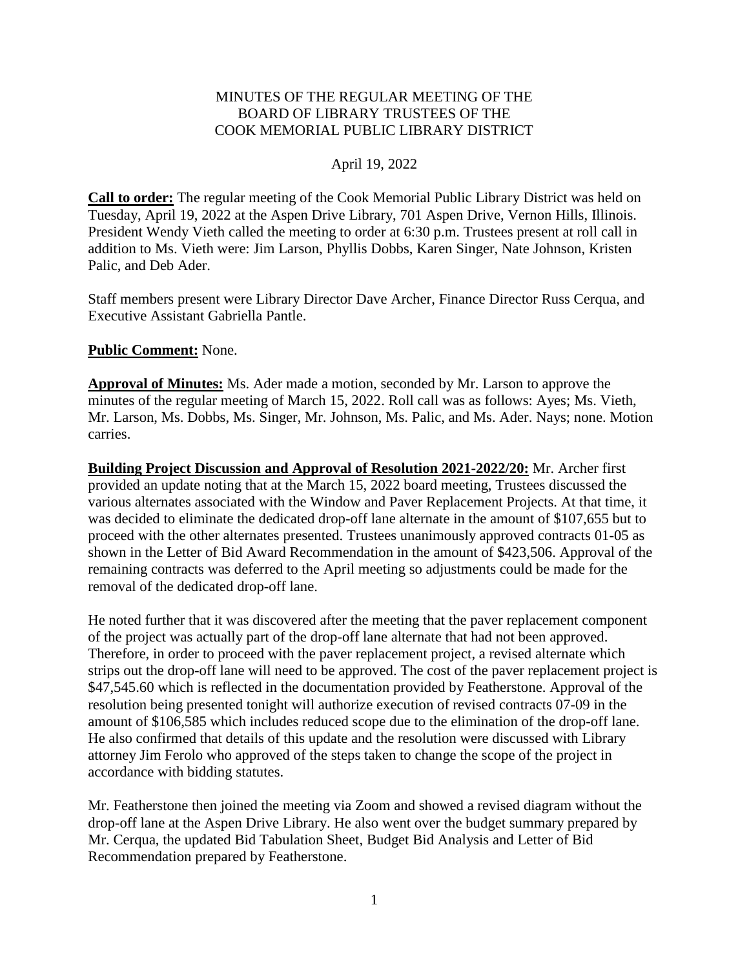#### MINUTES OF THE REGULAR MEETING OF THE BOARD OF LIBRARY TRUSTEES OF THE COOK MEMORIAL PUBLIC LIBRARY DISTRICT

#### April 19, 2022

**Call to order:** The regular meeting of the Cook Memorial Public Library District was held on Tuesday, April 19, 2022 at the Aspen Drive Library, 701 Aspen Drive, Vernon Hills, Illinois. President Wendy Vieth called the meeting to order at 6:30 p.m. Trustees present at roll call in addition to Ms. Vieth were: Jim Larson, Phyllis Dobbs, Karen Singer, Nate Johnson, Kristen Palic, and Deb Ader.

Staff members present were Library Director Dave Archer, Finance Director Russ Cerqua, and Executive Assistant Gabriella Pantle.

#### **Public Comment:** None.

**Approval of Minutes:** Ms. Ader made a motion, seconded by Mr. Larson to approve the minutes of the regular meeting of March 15, 2022. Roll call was as follows: Ayes; Ms. Vieth, Mr. Larson, Ms. Dobbs, Ms. Singer, Mr. Johnson, Ms. Palic, and Ms. Ader. Nays; none. Motion carries.

**Building Project Discussion and Approval of Resolution 2021-2022/20:** Mr. Archer first provided an update noting that at the March 15, 2022 board meeting, Trustees discussed the various alternates associated with the Window and Paver Replacement Projects. At that time, it was decided to eliminate the dedicated drop-off lane alternate in the amount of \$107,655 but to proceed with the other alternates presented. Trustees unanimously approved contracts 01-05 as shown in the Letter of Bid Award Recommendation in the amount of \$423,506. Approval of the remaining contracts was deferred to the April meeting so adjustments could be made for the removal of the dedicated drop-off lane.

He noted further that it was discovered after the meeting that the paver replacement component of the project was actually part of the drop-off lane alternate that had not been approved. Therefore, in order to proceed with the paver replacement project, a revised alternate which strips out the drop-off lane will need to be approved. The cost of the paver replacement project is \$47,545.60 which is reflected in the documentation provided by Featherstone. Approval of the resolution being presented tonight will authorize execution of revised contracts 07-09 in the amount of \$106,585 which includes reduced scope due to the elimination of the drop-off lane. He also confirmed that details of this update and the resolution were discussed with Library attorney Jim Ferolo who approved of the steps taken to change the scope of the project in accordance with bidding statutes.

Mr. Featherstone then joined the meeting via Zoom and showed a revised diagram without the drop-off lane at the Aspen Drive Library. He also went over the budget summary prepared by Mr. Cerqua, the updated Bid Tabulation Sheet, Budget Bid Analysis and Letter of Bid Recommendation prepared by Featherstone.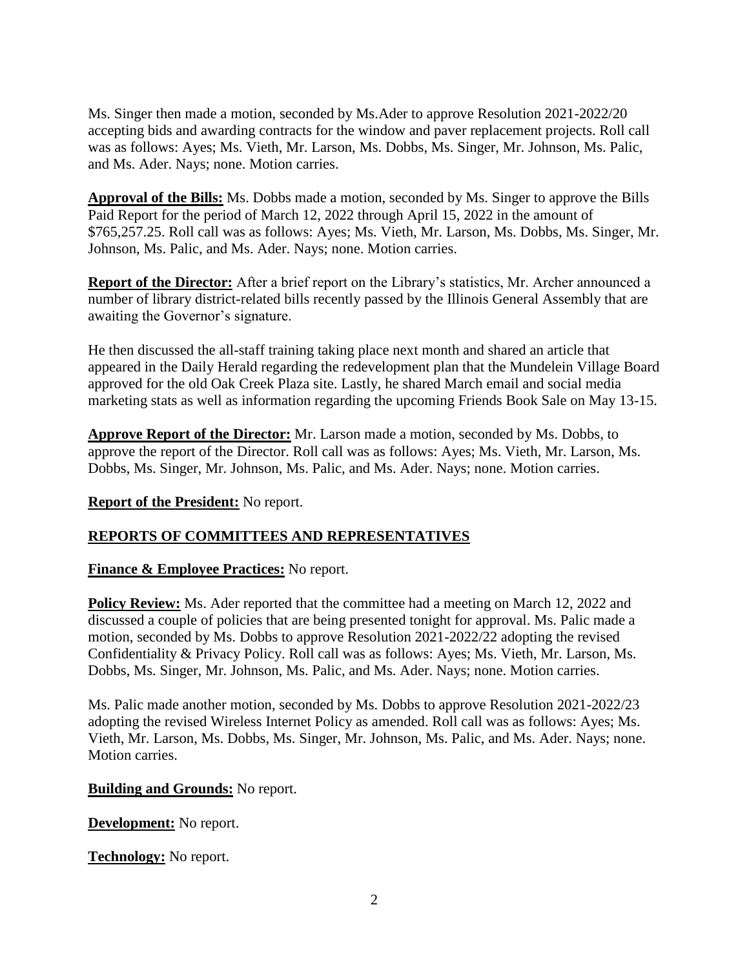Ms. Singer then made a motion, seconded by Ms.Ader to approve Resolution 2021-2022/20 accepting bids and awarding contracts for the window and paver replacement projects. Roll call was as follows: Ayes; Ms. Vieth, Mr. Larson, Ms. Dobbs, Ms. Singer, Mr. Johnson, Ms. Palic, and Ms. Ader. Nays; none. Motion carries.

**Approval of the Bills:** Ms. Dobbs made a motion, seconded by Ms. Singer to approve the Bills Paid Report for the period of March 12, 2022 through April 15, 2022 in the amount of \$765,257.25. Roll call was as follows: Ayes; Ms. Vieth, Mr. Larson, Ms. Dobbs, Ms. Singer, Mr. Johnson, Ms. Palic, and Ms. Ader. Nays; none. Motion carries.

**Report of the Director:** After a brief report on the Library's statistics, Mr. Archer announced a number of library district-related bills recently passed by the Illinois General Assembly that are awaiting the Governor's signature.

He then discussed the all-staff training taking place next month and shared an article that appeared in the Daily Herald regarding the redevelopment plan that the Mundelein Village Board approved for the old Oak Creek Plaza site. Lastly, he shared March email and social media marketing stats as well as information regarding the upcoming Friends Book Sale on May 13-15.

**Approve Report of the Director:** Mr. Larson made a motion, seconded by Ms. Dobbs, to approve the report of the Director. Roll call was as follows: Ayes; Ms. Vieth, Mr. Larson, Ms. Dobbs, Ms. Singer, Mr. Johnson, Ms. Palic, and Ms. Ader. Nays; none. Motion carries.

### **Report of the President:** No report.

# **REPORTS OF COMMITTEES AND REPRESENTATIVES**

### **Finance & Employee Practices:** No report.

**Policy Review:** Ms. Ader reported that the committee had a meeting on March 12, 2022 and discussed a couple of policies that are being presented tonight for approval. Ms. Palic made a motion, seconded by Ms. Dobbs to approve Resolution 2021-2022/22 adopting the revised Confidentiality & Privacy Policy. Roll call was as follows: Ayes; Ms. Vieth, Mr. Larson, Ms. Dobbs, Ms. Singer, Mr. Johnson, Ms. Palic, and Ms. Ader. Nays; none. Motion carries.

Ms. Palic made another motion, seconded by Ms. Dobbs to approve Resolution 2021-2022/23 adopting the revised Wireless Internet Policy as amended. Roll call was as follows: Ayes; Ms. Vieth, Mr. Larson, Ms. Dobbs, Ms. Singer, Mr. Johnson, Ms. Palic, and Ms. Ader. Nays; none. Motion carries.

### **Building and Grounds:** No report.

**Development:** No report.

**Technology:** No report.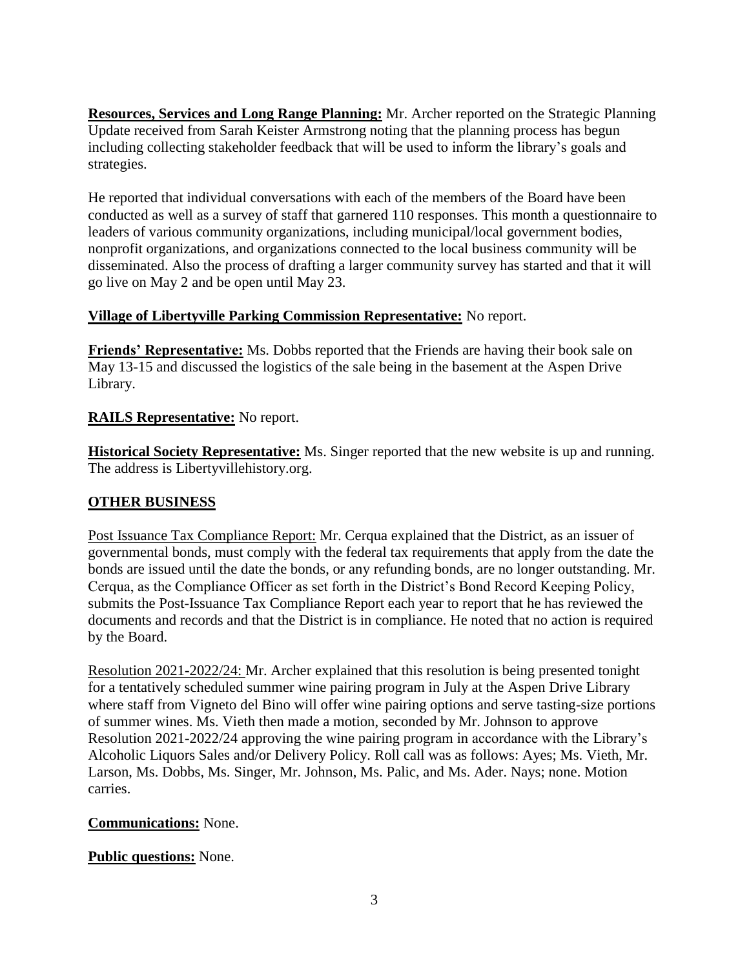**Resources, Services and Long Range Planning:** Mr. Archer reported on the Strategic Planning Update received from Sarah Keister Armstrong noting that the planning process has begun including collecting stakeholder feedback that will be used to inform the library's goals and strategies.

He reported that individual conversations with each of the members of the Board have been conducted as well as a survey of staff that garnered 110 responses. This month a questionnaire to leaders of various community organizations, including municipal/local government bodies, nonprofit organizations, and organizations connected to the local business community will be disseminated. Also the process of drafting a larger community survey has started and that it will go live on May 2 and be open until May 23.

# **Village of Libertyville Parking Commission Representative:** No report.

**Friends' Representative:** Ms. Dobbs reported that the Friends are having their book sale on May 13-15 and discussed the logistics of the sale being in the basement at the Aspen Drive Library.

# **RAILS Representative:** No report.

**Historical Society Representative:** Ms. Singer reported that the new website is up and running. The address is Libertyvillehistory.org.

### **OTHER BUSINESS**

Post Issuance Tax Compliance Report: Mr. Cerqua explained that the District, as an issuer of governmental bonds, must comply with the federal tax requirements that apply from the date the bonds are issued until the date the bonds, or any refunding bonds, are no longer outstanding. Mr. Cerqua, as the Compliance Officer as set forth in the District's Bond Record Keeping Policy, submits the Post-Issuance Tax Compliance Report each year to report that he has reviewed the documents and records and that the District is in compliance. He noted that no action is required by the Board.

Resolution 2021-2022/24: Mr. Archer explained that this resolution is being presented tonight for a tentatively scheduled summer wine pairing program in July at the Aspen Drive Library where staff from Vigneto del Bino will offer wine pairing options and serve tasting-size portions of summer wines. Ms. Vieth then made a motion, seconded by Mr. Johnson to approve Resolution 2021-2022/24 approving the wine pairing program in accordance with the Library's Alcoholic Liquors Sales and/or Delivery Policy. Roll call was as follows: Ayes; Ms. Vieth, Mr. Larson, Ms. Dobbs, Ms. Singer, Mr. Johnson, Ms. Palic, and Ms. Ader. Nays; none. Motion carries.

### **Communications:** None.

### **Public questions:** None.